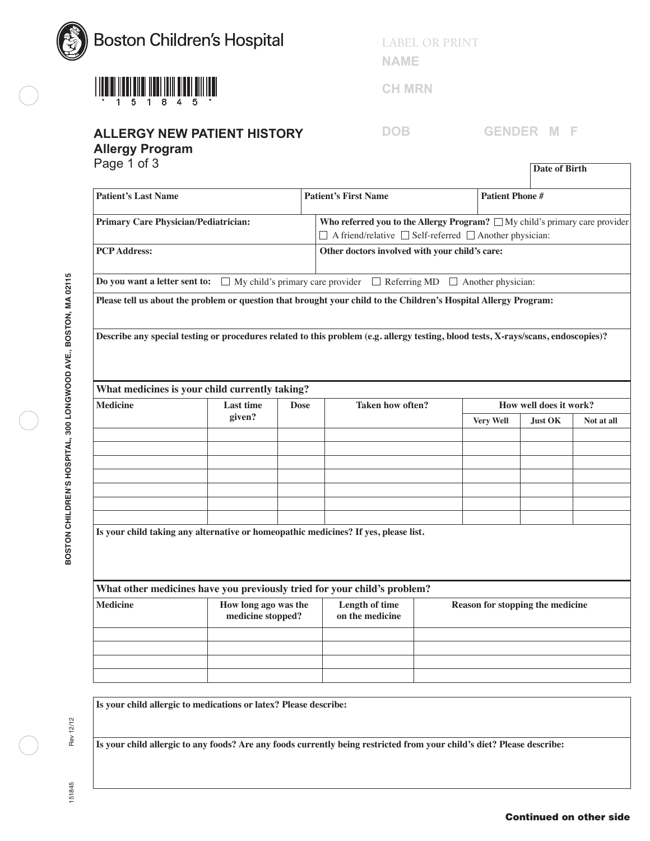

## **ALLERGY NEW PATIENT HISTORY**

**Allergy Program**

LABEL OR PRINT

**NAME**

**CH MRN**

**DOB GENDER M F**

| Page 1 of 3                                 |                                                                                                                            |                             |                                                                                  |                        |                  | <b>Date of Birth</b>             |            |  |  |
|---------------------------------------------|----------------------------------------------------------------------------------------------------------------------------|-----------------------------|----------------------------------------------------------------------------------|------------------------|------------------|----------------------------------|------------|--|--|
| <b>Patient's Last Name</b>                  |                                                                                                                            | <b>Patient's First Name</b> |                                                                                  | <b>Patient Phone #</b> |                  |                                  |            |  |  |
| <b>Primary Care Physician/Pediatrician:</b> |                                                                                                                            |                             | Who referred you to the Allergy Program? $\Box$ My child's primary care provider |                        |                  |                                  |            |  |  |
|                                             |                                                                                                                            |                             | $\Box$ A friend/relative $\Box$ Self-referred $\Box$ Another physician:          |                        |                  |                                  |            |  |  |
| <b>PCP</b> Address:                         |                                                                                                                            |                             | Other doctors involved with your child's care:                                   |                        |                  |                                  |            |  |  |
|                                             | <b>Do you want a letter sent to:</b> $\Box$ My child's primary care provider $\Box$ Referring MD $\Box$ Another physician: |                             |                                                                                  |                        |                  |                                  |            |  |  |
|                                             | Please tell us about the problem or question that brought your child to the Children's Hospital Allergy Program:           |                             |                                                                                  |                        |                  |                                  |            |  |  |
|                                             | What medicines is your child currently taking?                                                                             |                             |                                                                                  |                        |                  |                                  |            |  |  |
| <b>Medicine</b>                             | <b>Last time</b>                                                                                                           | <b>Dose</b>                 | <b>Taken how often?</b>                                                          |                        |                  | How well does it work?           |            |  |  |
|                                             | given?                                                                                                                     |                             |                                                                                  |                        | <b>Very Well</b> | <b>Just OK</b>                   | Not at all |  |  |
|                                             |                                                                                                                            |                             |                                                                                  |                        |                  |                                  |            |  |  |
|                                             |                                                                                                                            |                             |                                                                                  |                        |                  |                                  |            |  |  |
|                                             |                                                                                                                            |                             |                                                                                  |                        |                  |                                  |            |  |  |
|                                             |                                                                                                                            |                             |                                                                                  |                        |                  |                                  |            |  |  |
|                                             |                                                                                                                            |                             |                                                                                  |                        |                  |                                  |            |  |  |
|                                             |                                                                                                                            |                             |                                                                                  |                        |                  |                                  |            |  |  |
|                                             | Is your child taking any alternative or homeopathic medicines? If yes, please list.                                        |                             |                                                                                  |                        |                  |                                  |            |  |  |
|                                             | What other medicines have you previously tried for your child's problem?                                                   |                             |                                                                                  |                        |                  |                                  |            |  |  |
| <b>Medicine</b>                             | How long ago was the<br>medicine stopped?                                                                                  |                             | Length of time<br>on the medicine                                                |                        |                  | Reason for stopping the medicine |            |  |  |
|                                             |                                                                                                                            |                             |                                                                                  |                        |                  |                                  |            |  |  |
|                                             |                                                                                                                            |                             |                                                                                  |                        |                  |                                  |            |  |  |
|                                             |                                                                                                                            |                             |                                                                                  |                        |                  |                                  |            |  |  |

**Is your child allergic to medications or latex? Please describe:**

**Is your child allergic to any foods? Are any foods currently being restricted from your child's diet? Please describe:**

151845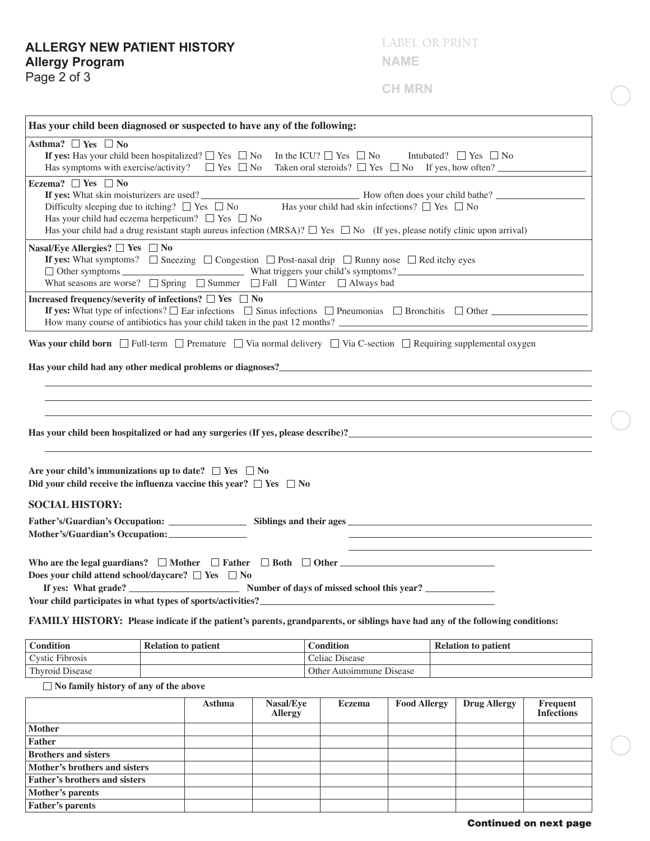## **ALLERGY NEW PATIENT HISTORY Allergy Program**

Page 2 of 3

LABEL OR PRINT

**NAME**

**CH MRN**

|                                              | Has your child been diagnosed or suspected to have any of the following:                                                                                                                                                       |                                                                  |                                                                                                                                                                                                                                 |
|----------------------------------------------|--------------------------------------------------------------------------------------------------------------------------------------------------------------------------------------------------------------------------------|------------------------------------------------------------------|---------------------------------------------------------------------------------------------------------------------------------------------------------------------------------------------------------------------------------|
| Asthma? $\Box$ Yes $\Box$ No                 |                                                                                                                                                                                                                                |                                                                  |                                                                                                                                                                                                                                 |
|                                              | If yes: Has your child been hospitalized? $\Box$ Yes $\Box$ No                                                                                                                                                                 | In the ICU? $\Box$ Yes $\Box$ No Intubated? $\Box$ Yes $\Box$ No |                                                                                                                                                                                                                                 |
|                                              | Has symptoms with exercise/activity? $\square$ Yes $\square$ No                                                                                                                                                                | Taken oral steroids? $\Box$ Yes $\Box$ No If yes, how often?     |                                                                                                                                                                                                                                 |
| Eczema? $\Box$ Yes $\Box$ No                 |                                                                                                                                                                                                                                |                                                                  |                                                                                                                                                                                                                                 |
|                                              | If yes: What skin moisturizers are used?                                                                                                                                                                                       |                                                                  |                                                                                                                                                                                                                                 |
|                                              | Difficulty sleeping due to itching? $\Box$ Yes $\Box$ No Has your child had skin infections? $\Box$ Yes $\Box$ No                                                                                                              |                                                                  |                                                                                                                                                                                                                                 |
|                                              | Has your child had eczema herpeticum? $\Box$ Yes $\Box$ No                                                                                                                                                                     |                                                                  |                                                                                                                                                                                                                                 |
|                                              | Has your child had a drug resistant staph aureus infection (MRSA)? $\square$ Yes $\square$ No (If yes, please notify clinic upon arrival)                                                                                      |                                                                  |                                                                                                                                                                                                                                 |
| Nasal/Eye Allergies? $\Box$ Yes $\Box$ No    |                                                                                                                                                                                                                                |                                                                  |                                                                                                                                                                                                                                 |
|                                              | If yes: What symptoms? $\Box$ Sneezing $\Box$ Congestion $\Box$ Post-nasal drip $\Box$ Runny nose $\Box$ Red itchy eyes                                                                                                        |                                                                  |                                                                                                                                                                                                                                 |
|                                              | $\Box$ Other symptoms $\Box$ What triggers your child's symptoms?                                                                                                                                                              |                                                                  |                                                                                                                                                                                                                                 |
|                                              | What seasons are worse? $\Box$ Spring $\Box$ Summer $\Box$ Fall $\Box$ Winter $\Box$ Always bad                                                                                                                                |                                                                  |                                                                                                                                                                                                                                 |
|                                              | Increased frequency/severity of infections? $\Box$ Yes $\Box$ No                                                                                                                                                               |                                                                  |                                                                                                                                                                                                                                 |
|                                              | If yes: What type of infections? $\Box$ Ear infections $\Box$ Sinus infections $\Box$ Pneumonias $\Box$ Bronchitis $\Box$ Other                                                                                                |                                                                  |                                                                                                                                                                                                                                 |
|                                              |                                                                                                                                                                                                                                |                                                                  |                                                                                                                                                                                                                                 |
|                                              | Was your child born $\Box$ Full-term $\Box$ Premature $\Box$ Via normal delivery $\Box$ Via C-section $\Box$ Requiring supplemental oxygen                                                                                     |                                                                  |                                                                                                                                                                                                                                 |
|                                              |                                                                                                                                                                                                                                |                                                                  |                                                                                                                                                                                                                                 |
|                                              |                                                                                                                                                                                                                                |                                                                  |                                                                                                                                                                                                                                 |
|                                              |                                                                                                                                                                                                                                |                                                                  |                                                                                                                                                                                                                                 |
|                                              |                                                                                                                                                                                                                                |                                                                  |                                                                                                                                                                                                                                 |
|                                              |                                                                                                                                                                                                                                |                                                                  |                                                                                                                                                                                                                                 |
|                                              |                                                                                                                                                                                                                                |                                                                  |                                                                                                                                                                                                                                 |
|                                              |                                                                                                                                                                                                                                |                                                                  | Has your child been hospitalized or had any surgeries (If yes, please describe)?<br>The set of the set of the set of the set of the set of the set of the set of the set of the set of the set of the set of the set of the set |
|                                              |                                                                                                                                                                                                                                |                                                                  |                                                                                                                                                                                                                                 |
|                                              |                                                                                                                                                                                                                                |                                                                  |                                                                                                                                                                                                                                 |
|                                              | Are your child's immunizations up to date? $\Box$ Yes $\Box$ No                                                                                                                                                                |                                                                  |                                                                                                                                                                                                                                 |
|                                              | Did your child receive the influenza vaccine this year? $\Box$ Yes $\Box$ No                                                                                                                                                   |                                                                  |                                                                                                                                                                                                                                 |
| <b>SOCIAL HISTORY:</b>                       |                                                                                                                                                                                                                                |                                                                  |                                                                                                                                                                                                                                 |
|                                              |                                                                                                                                                                                                                                |                                                                  |                                                                                                                                                                                                                                 |
|                                              | Father's/Guardian's Occupation: Siblings and their ages Siblings and the set of the set of the set of the set of the set of the set of the set of the set of the set of the set of the set of the set of the set of the set of |                                                                  |                                                                                                                                                                                                                                 |
|                                              |                                                                                                                                                                                                                                |                                                                  |                                                                                                                                                                                                                                 |
|                                              |                                                                                                                                                                                                                                |                                                                  |                                                                                                                                                                                                                                 |
|                                              | Who are the legal guardians? $\Box$ Mother $\Box$ Father $\Box$ Both $\Box$ Other                                                                                                                                              |                                                                  |                                                                                                                                                                                                                                 |
|                                              | Does your child attend school/daycare? $\Box$ Yes $\Box$ No                                                                                                                                                                    |                                                                  |                                                                                                                                                                                                                                 |
|                                              |                                                                                                                                                                                                                                |                                                                  |                                                                                                                                                                                                                                 |
|                                              | Your child participates in what types of sports/activities?_                                                                                                                                                                   |                                                                  |                                                                                                                                                                                                                                 |
|                                              | FAMILY HISTORY: Please indicate if the patient's parents, grandparents, or siblings have had any of the following conditions:                                                                                                  |                                                                  |                                                                                                                                                                                                                                 |
| <b>Condition</b>                             | <b>Relation to patient</b>                                                                                                                                                                                                     | <b>Condition</b>                                                 |                                                                                                                                                                                                                                 |
| <b>Cystic Fibrosis</b>                       |                                                                                                                                                                                                                                | Celiac Disease                                                   | <b>Relation to patient</b>                                                                                                                                                                                                      |
| Thyroid Disease                              |                                                                                                                                                                                                                                | Other Autoimmune Disease                                         |                                                                                                                                                                                                                                 |
|                                              |                                                                                                                                                                                                                                |                                                                  |                                                                                                                                                                                                                                 |
| $\Box$ No family history of any of the above |                                                                                                                                                                                                                                |                                                                  |                                                                                                                                                                                                                                 |

|                                      | <b>Asthma</b> | Nasal/Eye<br><b>Allergy</b> | Eczema | <b>Food Allergy</b> | <b>Drug Allergy</b> | Frequent<br><b>Infections</b> |
|--------------------------------------|---------------|-----------------------------|--------|---------------------|---------------------|-------------------------------|
| <b>Mother</b>                        |               |                             |        |                     |                     |                               |
| <b>Father</b>                        |               |                             |        |                     |                     |                               |
| <b>Brothers and sisters</b>          |               |                             |        |                     |                     |                               |
| Mother's brothers and sisters        |               |                             |        |                     |                     |                               |
| <b>Father's brothers and sisters</b> |               |                             |        |                     |                     |                               |
| Mother's parents                     |               |                             |        |                     |                     |                               |
| <b>Father's parents</b>              |               |                             |        |                     |                     |                               |